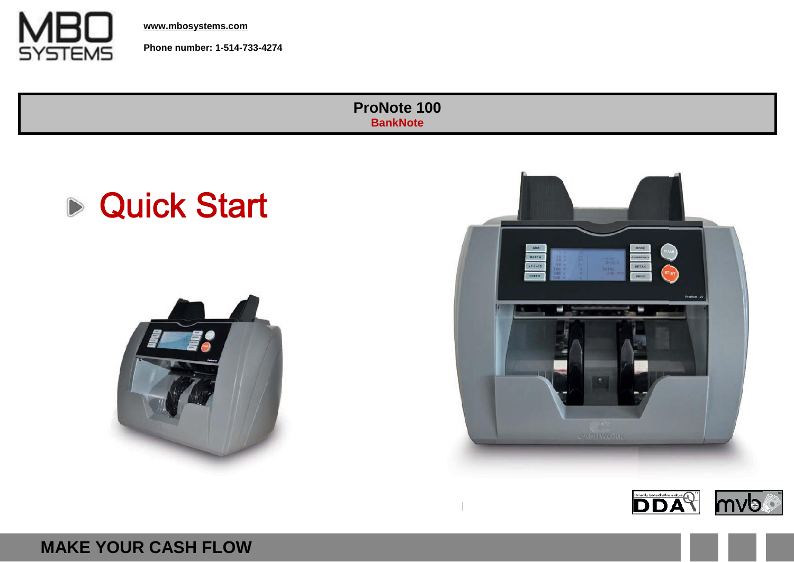

**[www.mbosystems.com](http://www.mbosystems.co/)**

**Phone number: 1-514-733-4274**

**ProNote 100 BankNote**









**MAKE YOUR CASH FLOW**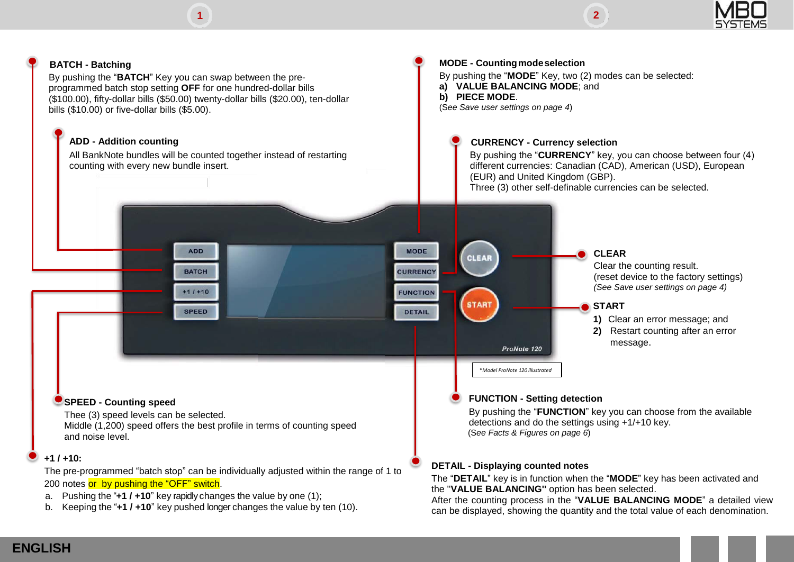





b. Keeping the "**+1 / +10**" key pushed longer changes the value by ten (10).

After the counting process in the "**VALUE BALANCING MODE**" a detailed view can be displayed, showing the quantity and the total value of each denomination.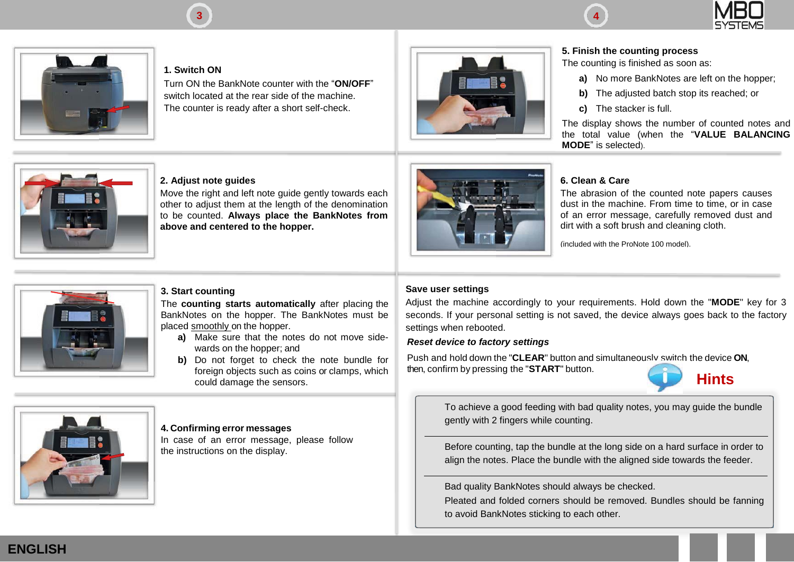



**1. Switch ON**

Turn ON the BankNote counter with the "**ON/OFF**" switch located at the rear side of the machine. The counter is ready after a short self-check.



**3 4**

#### **5. Finish the counting process**

The counting is finished as soon as:

- **a)** No more BankNotes are left on the hopper;
- **b)** The adjusted batch stop its reached; or
- **c)** The stacker is full.

The display shows the number of counted notes and the total value (when the "**VALUE BALANCING MODE**" is selected).



#### **2. Adjust note guides**

Move the right and left note guide gently towards each other to adjust them at the length of the denomination to be counted. **Always place the BankNotes from above and centered to the hopper.**



#### **6. Clean & Care**

The abrasion of the counted note papers causes dust in the machine. From time to time, or in case of an error message, carefully removed dust and dirt with a soft brush and cleaning cloth.

(included with the ProNote 100 model).



#### **3. Start counting**

The **counting starts automatically** after placing the BankNotes on the hopper. The BankNotes must be placed smoothly on the hopper.

- **a)** Make sure that the notes do not move sidewards on the hopper; and
- **b)** Do not forget to check the note bundle for foreign objects such as coins or clamps, which could damage the sensors.

#### **Save user settings**

Adjust the machine accordingly to your requirements. Hold down the "**MODE**" key for 3 seconds. If your personal setting is not saved, the device always goes back to the factory settings when rebooted.

#### *Reset device to factory settings*

Push and hold down the "**CLEAR**" button and simultaneously switch the device **ON**, then, confirm by pressing the "**START**" button.



To achieve a good feeding with bad quality notes, you may guide the bundle gently with 2 fingers while counting.

the instructions on the display. Before counting, tap the bundle at the long side on a hard surface in order to align the notes. Place the bundle with the aligned side towards the feeder.

Bad quality BankNotes should always be checked.

Pleated and folded corners should be removed. Bundles should be fanning to avoid BankNotes sticking to each other.



#### **4. Confirming error messages**

In case of an error message, please follow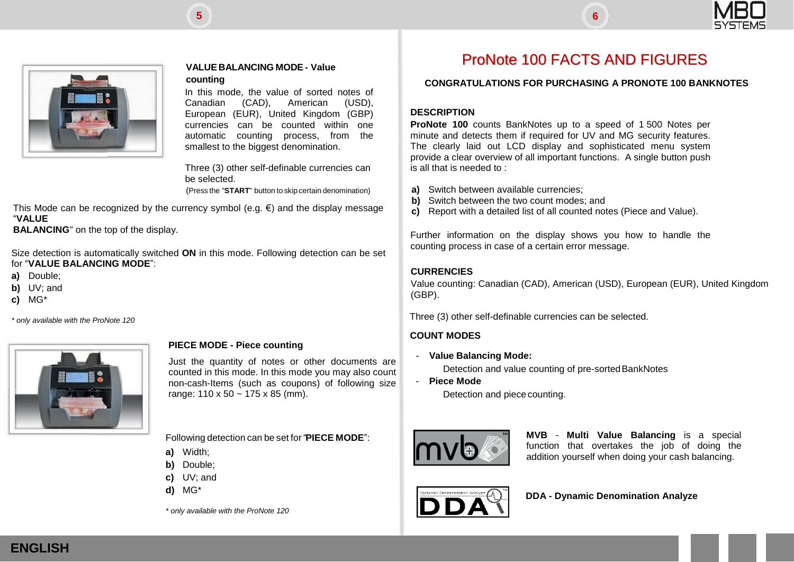



#### **counting**

In this mode, the value of sorted notes of Canadian (CAD), American (USD), European (EUR), United Kingdom (GBP) currencies can be counted within one automatic counting process, from the smallest to the biggest denomination.

Three (3) other self-definable currencies can be selected.

(Press the "**START**" button to skip certain denomination)

This Mode can be recognized by the currency symbol (e.g.  $\epsilon$ ) and the display message "**VALUE**

**BALANCING**" on the top of the display.

Size detection is automatically switched **ON** in this mode. Following detection can be set for "**VALUE BALANCING MODE**":

- **a)** Double;
- **b)** UV; and
- **c)** MG\*

*\* only available with the ProNote 120*



#### **PIECE MODE - Piece counting**

Just the quantity of notes or other documents are counted in this mode. In this mode you may also count non-cash-Items (such as coupons) of following size range: 110 x 50 ~ 175 x 85 (mm).

Following detection can be set for "**PIECE MODE**":

- **a)** Width;
- **b)** Double;
- **c)** UV; and
- **d)** MG\*

*\* only available with the ProNote 120*

## **PRONOTE 100 FACTS AND FIGURES**

#### **CONGRATULATIONS FOR PURCHASING A PRONOTE 100 BANKNOTES**

#### **DESCRIPTION**

**ProNote 100** counts BankNotes up to a speed of 1 500 Notes per minute and detects them if required for UV and MG security features. The clearly laid out LCD display and sophisticated menu system provide a clear overview of all important functions. A single button push is all that is needed to :

- **a)** Switch between available currencies;
- **b)** Switch between the two count modes; and
- **c)** Report with a detailed list of all counted notes (Piece and Value).

Further information on the display shows you how to handle the counting process in case of a certain error message.

#### **CURRENCIES**

Value counting: Canadian (CAD), American (USD), European (EUR), United Kingdom (GBP).

Three (3) other self-definable currencies can be selected.

#### **COUNT MODES**

- **Value Balancing Mode:**

Detection and value counting of pre-sorted BankNotes

- **Piece Mode** Detection and piece counting.



**MVB** - **Multi Value Balancing** is a special function that overtakes the job of doing the addition yourself when doing your cash balancing.



**DDA - Dynamic Denomination Analyze**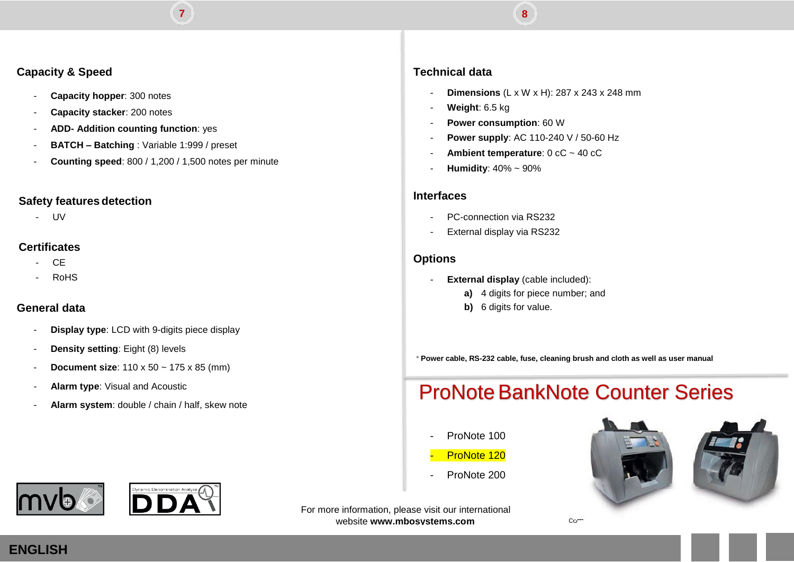#### **Capacity & Speed**

- **Capacity hopper**: 300 notes
- **Capacity stacker**: 200 notes
- **ADD- Addition counting function**: yes
- **BATCH – Batching** : Variable 1:999 / preset
- **Counting speed**: 800 / 1,200 / 1,500 notes per minute

**7 0**

#### **Safety features detection**

- UV

#### **Certificates**

- CE
- RoHS

### **General data**

- **Display type**: LCD with 9-digits piece display
- **Density setting**: Eight (8) levels
- **Document size**: 110 x 50 ~ 175 x 85 (mm)
- **Alarm type**: Visual and Acoustic
- **Alarm system**: double / chain / half, skew note

#### **Technical data**

- **Dimensions** (L x W x H): 287 x 243 x 248 mm
- Weight: 6.5 kg
- **Power consumption: 60 W**
- **Power supply**: AC 110-240 V / 50-60 Hz

**8**

- Ambient **temperature**: 0 cC ~ 40 cC
- **Humidity**: 40% ~ 90%

#### **Interfaces**

- PC-connection via RS232
- External display via RS232

#### **Options**

- **External display** (cable included):
	- **a)** 4 digits for piece number; and
	- **b)** 6 digits for value.

*\** **Power cable, RS-232 cable, fuse, cleaning brush and cloth as well as user manual**

## **ProNote BankNote Counter Series**

- ProNote 100
- ProNote 120
- ProNote 200





**DDA** 

For more information, please visit our international website **[www.mbosystems.com](http://www.mbosystems.co/)**